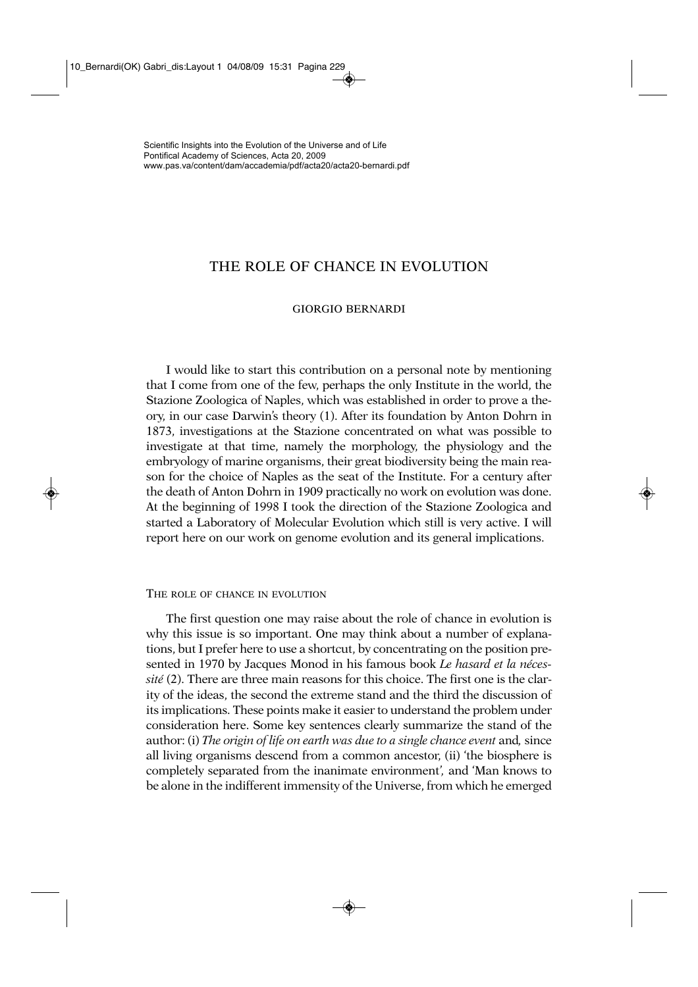# THE ROLE OF CHANCE IN EVOLUTION

## GIORGIO BERNARDI

I would like to start this contribution on a personal note by mentioning that I come from one of the few, perhaps the only Institute in the world, the Stazione Zoologica of Naples, which was established in order to prove a theory, in our case Darwin's theory (1). After its foundation by Anton Dohrn in 1873, investigations at the Stazione concentrated on what was possible to investigate at that time, namely the morphology, the physiology and the embryology of marine organisms, their great biodiversity being the main reason for the choice of Naples as the seat of the Institute. For a century after the death of Anton Dohrn in 1909 practically no work on evolution was done. At the beginning of 1998 I took the direction of the Stazione Zoologica and started a Laboratory of Molecular Evolution which still is very active. I will report here on our work on genome evolution and its general implications.

## THE ROLE OF CHANCE IN EVOLUTION

The first question one may raise about the role of chance in evolution is why this issue is so important. One may think about a number of explanations, but I prefer here to use a shortcut, by concentrating on the position presented in 1970 by Jacques Monod in his famous book *Le hasard et la nécessité* (2). There are three main reasons for this choice. The first one is the clarity of the ideas, the second the extreme stand and the third the discussion of its implications. These points make it easier to understand the problem under consideration here. Some key sentences clearly summarize the stand of the author: (i) *The origin of life on earth was due to a single chance event* and*,* since all living organisms descend from a common ancestor, (ii) 'the biosphere is completely separated from the inanimate environment*',* and 'Man knows to be alone in the indifferent immensity of the Universe, from which he emerged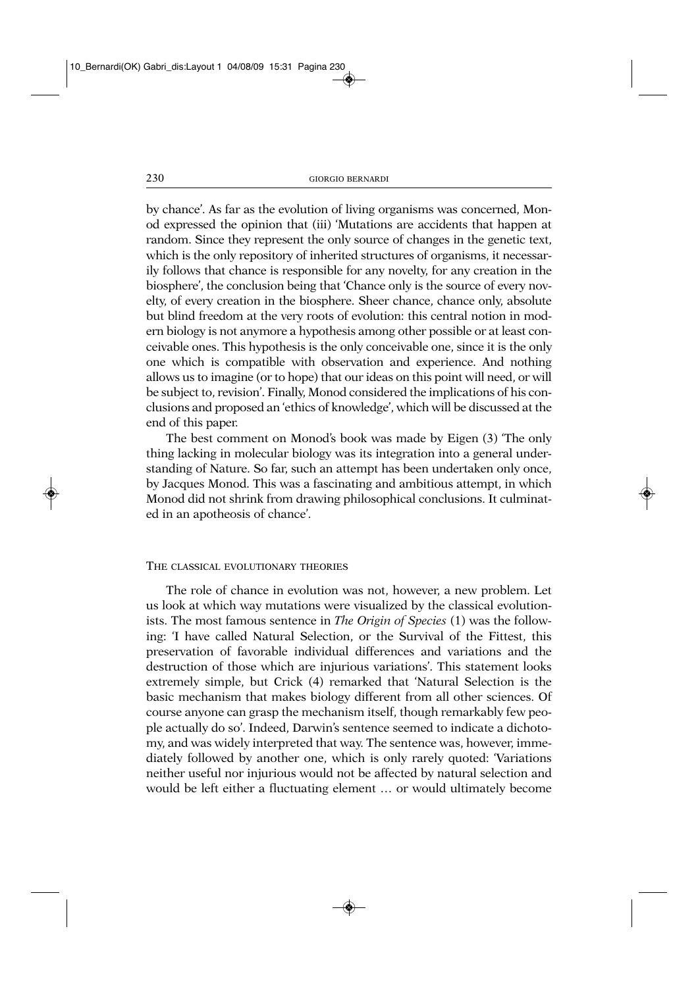by chance'. As far as the evolution of living organisms was concerned, Monod expressed the opinion that (iii) 'Mutations are accidents that happen at random. Since they represent the only source of changes in the genetic text, which is the only repository of inherited structures of organisms, it necessarily follows that chance is responsible for any novelty, for any creation in the biosphere', the conclusion being that 'Chance only is the source of every novelty, of every creation in the biosphere. Sheer chance, chance only, absolute but blind freedom at the very roots of evolution: this central notion in modern biology is not anymore a hypothesis among other possible or at least conceivable ones. This hypothesis is the only conceivable one, since it is the only one which is compatible with observation and experience. And nothing allows us to imagine (or to hope) that our ideas on this point will need, or will be subject to, revision'. Finally, Monod considered the implications of his conclusions and proposed an 'ethics of knowledge', which will be discussed at the end of this paper.

The best comment on Monod's book was made by Eigen (3) 'The only thing lacking in molecular biology was its integration into a general understanding of Nature. So far, such an attempt has been undertaken only once, by Jacques Monod. This was a fascinating and ambitious attempt, in which Monod did not shrink from drawing philosophical conclusions. It culminated in an apotheosis of chance'.

## THE CLASSICAL EVOLUTIONARY THEORIES

The role of chance in evolution was not, however, a new problem. Let us look at which way mutations were visualized by the classical evolutionists. The most famous sentence in *The Origin of Species* (1) was the following: 'I have called Natural Selection, or the Survival of the Fittest, this preservation of favorable individual differences and variations and the destruction of those which are injurious variations'. This statement looks extremely simple, but Crick (4) remarked that 'Natural Selection is the basic mechanism that makes biology different from all other sciences. Of course anyone can grasp the mechanism itself, though remarkably few people actually do so'. Indeed, Darwin's sentence seemed to indicate a dichotomy, and was widely interpreted that way. The sentence was, however, immediately followed by another one, which is only rarely quoted: 'Variations neither useful nor injurious would not be affected by natural selection and would be left either a fluctuating element … or would ultimately become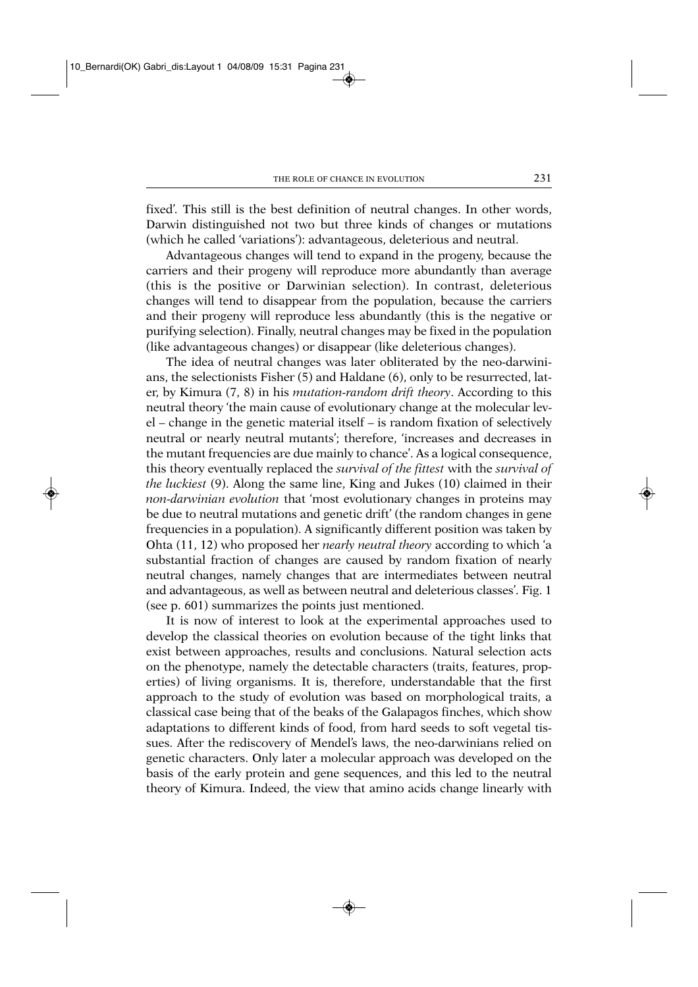fixed'*.* This still is the best definition of neutral changes. In other words, Darwin distinguished not two but three kinds of changes or mutations (which he called 'variations'): advantageous, deleterious and neutral.

Advantageous changes will tend to expand in the progeny, because the carriers and their progeny will reproduce more abundantly than average (this is the positive or Darwinian selection). In contrast, deleterious changes will tend to disappear from the population, because the carriers and their progeny will reproduce less abundantly (this is the negative or purifying selection). Finally, neutral changes may be fixed in the population (like advantageous changes) or disappear (like deleterious changes).

The idea of neutral changes was later obliterated by the neo-darwinians, the selectionists Fisher (5) and Haldane (6), only to be resurrected, later, by Kimura (7, 8) in his *mutation-random drift theory*. According to this neutral theory 'the main cause of evolutionary change at the molecular level – change in the genetic material itself – is random fixation of selectively neutral or nearly neutral mutants'; therefore, 'increases and decreases in the mutant frequencies are due mainly to chance'. As a logical consequence, this theory eventually replaced the *survival of the fittest* with the *survival of the luckiest* (9). Along the same line, King and Jukes (10) claimed in their *non-darwinian evolution* that 'most evolutionary changes in proteins may be due to neutral mutations and genetic drift' (the random changes in gene frequencies in a population). A significantly different position was taken by Ohta (11, 12) who proposed her *nearly neutral theory* according to which 'a substantial fraction of changes are caused by random fixation of nearly neutral changes, namely changes that are intermediates between neutral and advantageous, as well as between neutral and deleterious classes'. Fig. 1 (see p. 601) summarizes the points just mentioned.

It is now of interest to look at the experimental approaches used to develop the classical theories on evolution because of the tight links that exist between approaches, results and conclusions. Natural selection acts on the phenotype, namely the detectable characters (traits, features, properties) of living organisms. It is, therefore, understandable that the first approach to the study of evolution was based on morphological traits, a classical case being that of the beaks of the Galapagos finches, which show adaptations to different kinds of food, from hard seeds to soft vegetal tissues. After the rediscovery of Mendel's laws, the neo-darwinians relied on genetic characters. Only later a molecular approach was developed on the basis of the early protein and gene sequences, and this led to the neutral theory of Kimura. Indeed, the view that amino acids change linearly with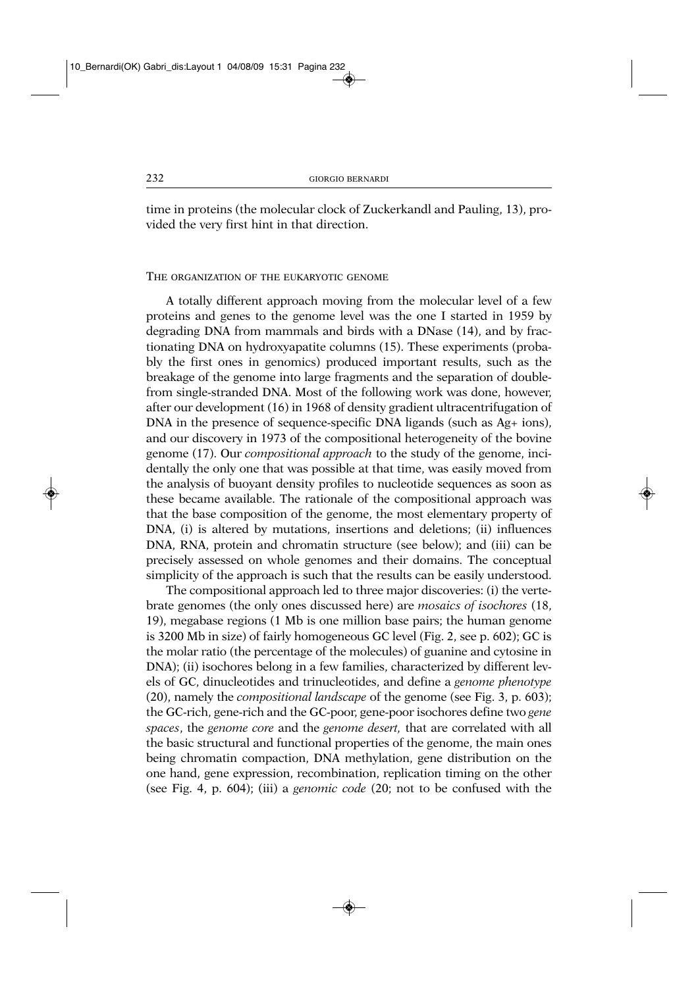time in proteins (the molecular clock of Zuckerkandl and Pauling, 13), provided the very first hint in that direction.

#### THE ORGANIZATION OF THE EUKARYOTIC GENOME

A totally different approach moving from the molecular level of a few proteins and genes to the genome level was the one I started in 1959 by degrading DNA from mammals and birds with a DNase (14), and by fractionating DNA on hydroxyapatite columns (15). These experiments (probably the first ones in genomics) produced important results, such as the breakage of the genome into large fragments and the separation of doublefrom single-stranded DNA. Most of the following work was done, however, after our development (16) in 1968 of density gradient ultracentrifugation of DNA in the presence of sequence-specific DNA ligands (such as Ag+ ions), and our discovery in 1973 of the compositional heterogeneity of the bovine genome (17). Our *compositional approach* to the study of the genome, incidentally the only one that was possible at that time, was easily moved from the analysis of buoyant density profiles to nucleotide sequences as soon as these became available. The rationale of the compositional approach was that the base composition of the genome, the most elementary property of DNA, (i) is altered by mutations, insertions and deletions; (ii) influences DNA, RNA, protein and chromatin structure (see below); and (iii) can be precisely assessed on whole genomes and their domains. The conceptual simplicity of the approach is such that the results can be easily understood.

The compositional approach led to three major discoveries: (i) the vertebrate genomes (the only ones discussed here) are *mosaics of isochores* (18, 19), megabase regions (1 Mb is one million base pairs; the human genome is 3200 Mb in size) of fairly homogeneous GC level (Fig. 2, see p. 602); GC is the molar ratio (the percentage of the molecules) of guanine and cytosine in DNA); (ii) isochores belong in a few families, characterized by different levels of GC, dinucleotides and trinucleotides, and define a *genome phenotype* (20), namely the *compositional landscape* of the genome (see Fig. 3, p. 603); the GC-rich, gene-rich and the GC-poor, gene-poor isochores define two *gene spaces*, the *genome core* and the *genome desert,* that are correlated with all the basic structural and functional properties of the genome, the main ones being chromatin compaction, DNA methylation, gene distribution on the one hand, gene expression, recombination, replication timing on the other (see Fig. 4, p. 604); (iii) a *genomic code* (20; not to be confused with the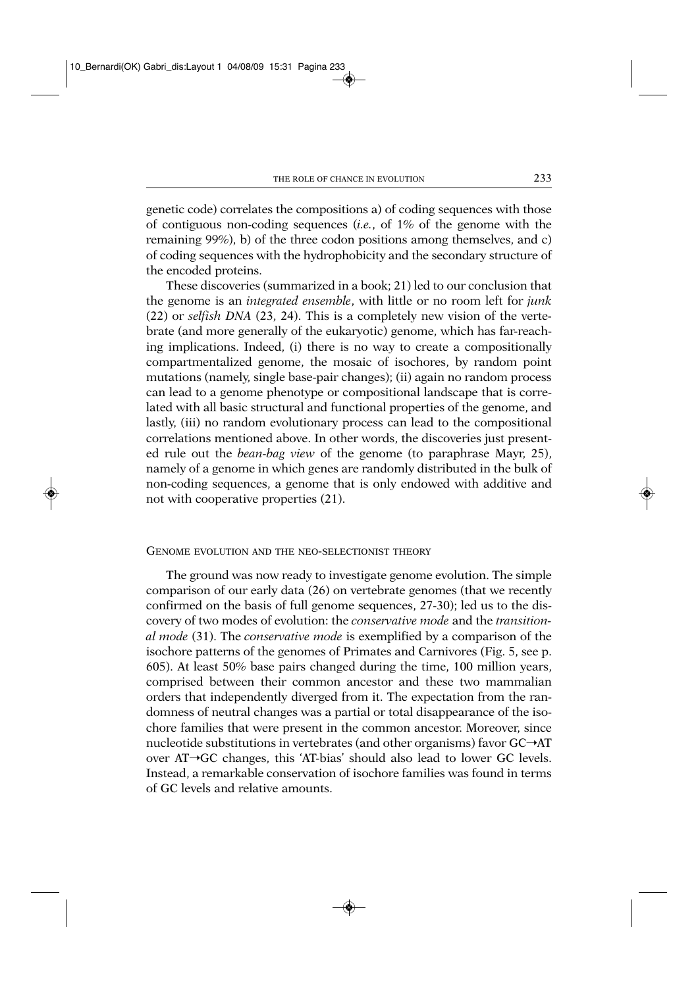genetic code) correlates the compositions a) of coding sequences with those of contiguous non-coding sequences (*i.e.*, of 1% of the genome with the remaining 99%), b) of the three codon positions among themselves, and c) of coding sequences with the hydrophobicity and the secondary structure of the encoded proteins.

These discoveries (summarized in a book; 21) led to our conclusion that the genome is an *integrated ensemble*, with little or no room left for *junk* (22) or *selfish DNA* (23, 24). This is a completely new vision of the vertebrate (and more generally of the eukaryotic) genome, which has far-reaching implications. Indeed, (i) there is no way to create a compositionally compartmentalized genome, the mosaic of isochores, by random point mutations (namely, single base-pair changes); (ii) again no random process can lead to a genome phenotype or compositional landscape that is correlated with all basic structural and functional properties of the genome, and lastly, (iii) no random evolutionary process can lead to the compositional correlations mentioned above. In other words, the discoveries just presented rule out the *bean-bag view* of the genome (to paraphrase Mayr, 25), namely of a genome in which genes are randomly distributed in the bulk of non-coding sequences, a genome that is only endowed with additive and not with cooperative properties (21).

#### GENOME EVOLUTION AND THE NEO-SELECTIONIST THEORY

The ground was now ready to investigate genome evolution. The simple comparison of our early data (26) on vertebrate genomes (that we recently confirmed on the basis of full genome sequences, 27-30); led us to the discovery of two modes of evolution: the *conservative mode* and the *transitional mode* (31). The *conservative mode* is exemplified by a comparison of the isochore patterns of the genomes of Primates and Carnivores (Fig. 5, see p. 605). At least 50% base pairs changed during the time, 100 million years, comprised between their common ancestor and these two mammalian orders that independently diverged from it. The expectation from the randomness of neutral changes was a partial or total disappearance of the isochore families that were present in the common ancestor. Moreover, since nucleotide substitutions in vertebrates (and other organisms) favor  $GC \rightarrow AT$ over  $AT\rightarrow GC$  changes, this 'AT-bias' should also lead to lower GC levels. Instead, a remarkable conservation of isochore families was found in terms of GC levels and relative amounts.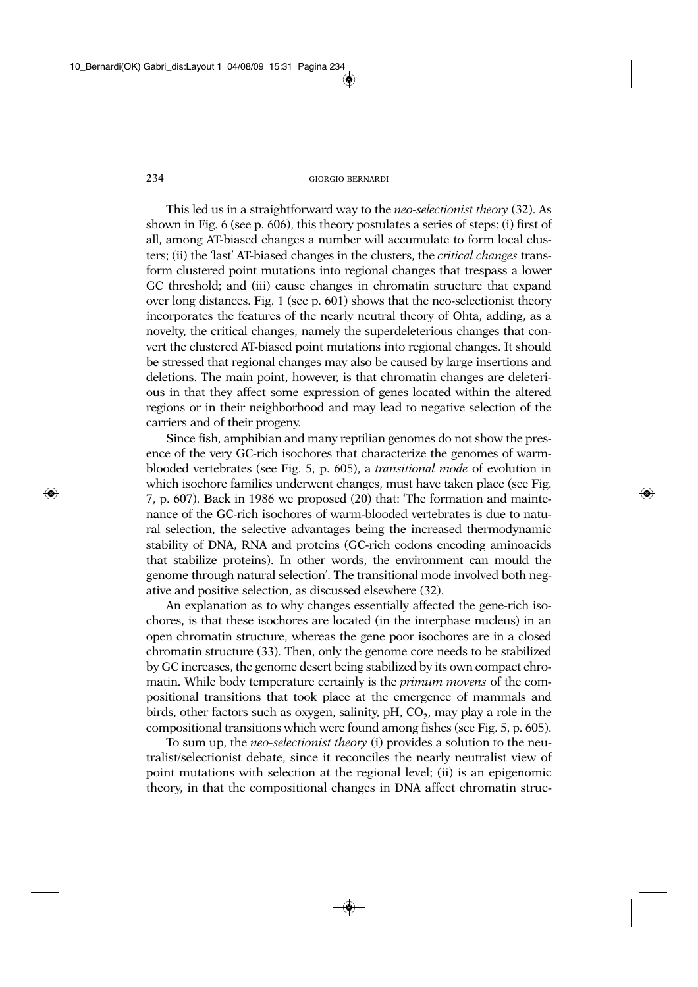This led us in a straightforward way to the *neo-selectionist theory* (32). As shown in Fig. 6 (see p. 606), this theory postulates a series of steps: (i) first of all, among AT-biased changes a number will accumulate to form local clusters; (ii) the 'last' AT-biased changes in the clusters, the *critical changes* transform clustered point mutations into regional changes that trespass a lower GC threshold; and (iii) cause changes in chromatin structure that expand over long distances. Fig. 1 (see p. 601) shows that the neo-selectionist theory incorporates the features of the nearly neutral theory of Ohta, adding, as a novelty, the critical changes, namely the superdeleterious changes that convert the clustered AT-biased point mutations into regional changes. It should be stressed that regional changes may also be caused by large insertions and deletions. The main point, however, is that chromatin changes are deleterious in that they affect some expression of genes located within the altered regions or in their neighborhood and may lead to negative selection of the carriers and of their progeny.

Since fish, amphibian and many reptilian genomes do not show the presence of the very GC-rich isochores that characterize the genomes of warmblooded vertebrates (see Fig. 5, p. 605), a *transitional mode* of evolution in which isochore families underwent changes, must have taken place (see Fig. 7, p. 607). Back in 1986 we proposed (20) that: 'The formation and maintenance of the GC-rich isochores of warm-blooded vertebrates is due to natural selection, the selective advantages being the increased thermodynamic stability of DNA, RNA and proteins (GC-rich codons encoding aminoacids that stabilize proteins). In other words, the environment can mould the genome through natural selection'. The transitional mode involved both negative and positive selection, as discussed elsewhere (32).

An explanation as to why changes essentially affected the gene-rich isochores, is that these isochores are located (in the interphase nucleus) in an open chromatin structure, whereas the gene poor isochores are in a closed chromatin structure (33). Then, only the genome core needs to be stabilized by GC increases, the genome desert being stabilized by its own compact chromatin. While body temperature certainly is the *primum movens* of the compositional transitions that took place at the emergence of mammals and birds, other factors such as oxygen, salinity,  $pH$ ,  $CO<sub>2</sub>$ , may play a role in the compositional transitions which were found among fishes (see Fig. 5, p. 605).

To sum up, the *neo-selectionist theory* (i) provides a solution to the neutralist/selectionist debate, since it reconciles the nearly neutralist view of point mutations with selection at the regional level; (ii) is an epigenomic theory, in that the compositional changes in DNA affect chromatin struc-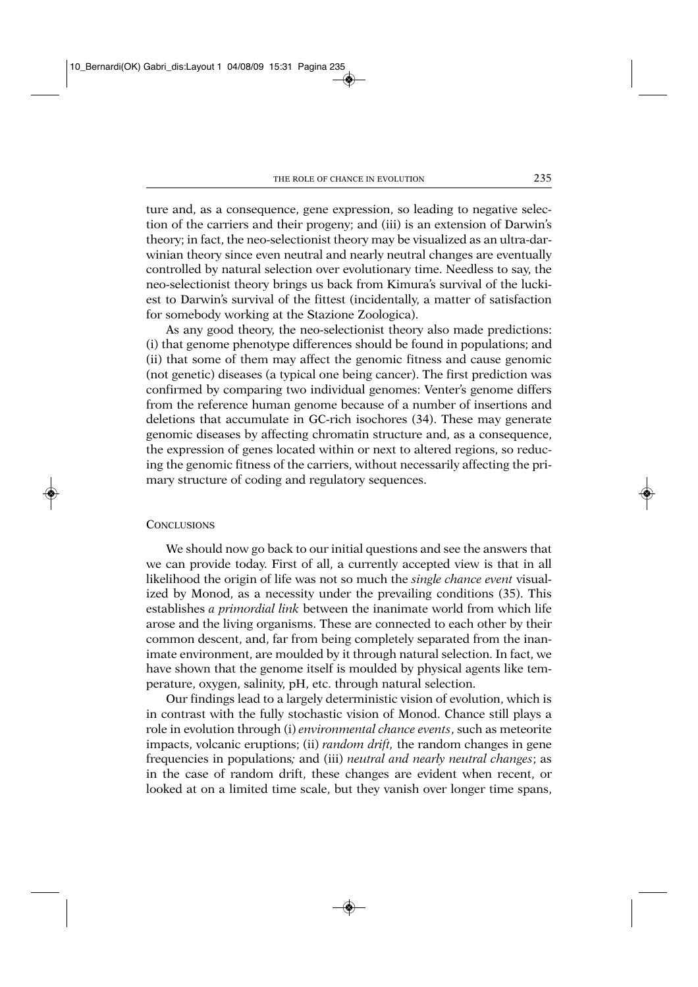ture and, as a consequence, gene expression, so leading to negative selection of the carriers and their progeny; and (iii) is an extension of Darwin's theory; in fact, the neo-selectionist theory may be visualized as an ultra-darwinian theory since even neutral and nearly neutral changes are eventually controlled by natural selection over evolutionary time. Needless to say, the neo-selectionist theory brings us back from Kimura's survival of the luckiest to Darwin's survival of the fittest (incidentally, a matter of satisfaction for somebody working at the Stazione Zoologica).

As any good theory, the neo-selectionist theory also made predictions: (i) that genome phenotype differences should be found in populations; and (ii) that some of them may affect the genomic fitness and cause genomic (not genetic) diseases (a typical one being cancer). The first prediction was confirmed by comparing two individual genomes: Venter's genome differs from the reference human genome because of a number of insertions and deletions that accumulate in GC-rich isochores (34). These may generate genomic diseases by affecting chromatin structure and, as a consequence, the expression of genes located within or next to altered regions, so reducing the genomic fitness of the carriers, without necessarily affecting the primary structure of coding and regulatory sequences.

### **CONCLUSIONS**

We should now go back to our initial questions and see the answers that we can provide today. First of all, a currently accepted view is that in all likelihood the origin of life was not so much the *single chance event* visualized by Monod, as a necessity under the prevailing conditions (35). This establishes *a primordial link* between the inanimate world from which life arose and the living organisms. These are connected to each other by their common descent, and, far from being completely separated from the inanimate environment, are moulded by it through natural selection. In fact, we have shown that the genome itself is moulded by physical agents like temperature, oxygen, salinity, pH, etc. through natural selection.

Our findings lead to a largely deterministic vision of evolution, which is in contrast with the fully stochastic vision of Monod. Chance still plays a role in evolution through (i) *environmental chance events*, such as meteorite impacts, volcanic eruptions; (ii) *random drift,* the random changes in gene frequencies in populations*;* and (iii) *neutral and nearly neutral changes*; as in the case of random drift, these changes are evident when recent, or looked at on a limited time scale, but they vanish over longer time spans,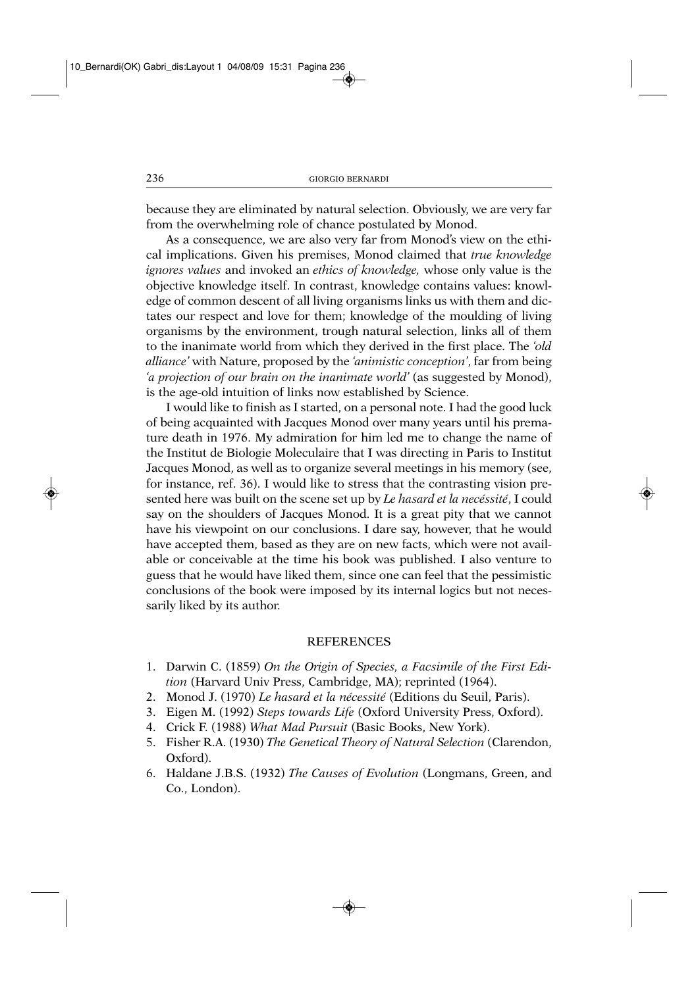because they are eliminated by natural selection. Obviously, we are very far from the overwhelming role of chance postulated by Monod.

As a consequence, we are also very far from Monod's view on the ethical implications. Given his premises, Monod claimed that *true knowledge ignores values* and invoked an *ethics of knowledge,* whose only value is the objective knowledge itself. In contrast, knowledge contains values: knowledge of common descent of all living organisms links us with them and dictates our respect and love for them; knowledge of the moulding of living organisms by the environment, trough natural selection, links all of them to the inanimate world from which they derived in the first place. The *'old alliance'* with Nature, proposed by the *'animistic conception'*, far from being *'a projection of our brain on the inanimate world'* (as suggested by Monod), is the age-old intuition of links now established by Science.

I would like to finish as I started, on a personal note. I had the good luck of being acquainted with Jacques Monod over many years until his premature death in 1976. My admiration for him led me to change the name of the Institut de Biologie Moleculaire that I was directing in Paris to Institut Jacques Monod, as well as to organize several meetings in his memory (see, for instance, ref. 36). I would like to stress that the contrasting vision presented here was built on the scene set up by *Le hasard et la necéssité*, I could say on the shoulders of Jacques Monod. It is a great pity that we cannot have his viewpoint on our conclusions. I dare say, however, that he would have accepted them, based as they are on new facts, which were not available or conceivable at the time his book was published. I also venture to guess that he would have liked them, since one can feel that the pessimistic conclusions of the book were imposed by its internal logics but not necessarily liked by its author.

# **REFERENCES**

- 1. Darwin C. (1859) *On the Origin of Species, a Facsimile of the First Edition* (Harvard Univ Press, Cambridge, MA); reprinted (1964).
- 2. Monod J. (1970) *Le hasard et la nécessité* (Editions du Seuil, Paris).
- 3. Eigen M. (1992) *Steps towards Life* (Oxford University Press, Oxford).
- 4. Crick F. (1988) *What Mad Pursuit* (Basic Books, New York).
- 5. Fisher R.A. (1930) *The Genetical Theory of Natural Selection* (Clarendon, Oxford).
- 6. Haldane J.B.S. (1932) *The Causes of Evolution* (Longmans, Green, and Co., London).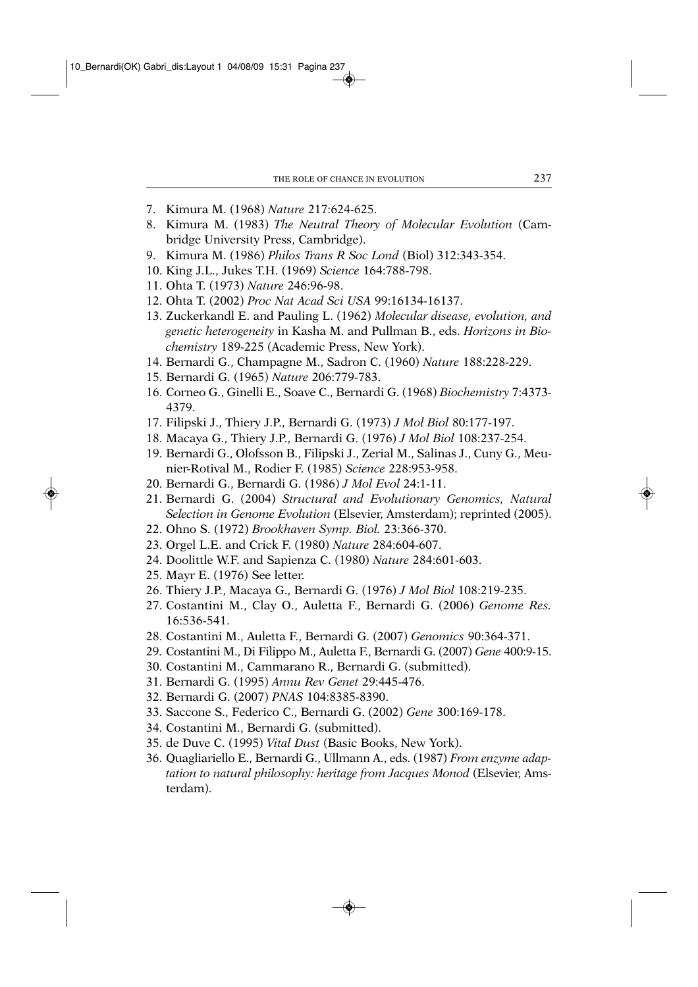- 7. Kimura M. (1968) *Nature* 217:624-625.
- 8. Kimura M. (1983) *The Neutral Theory of Molecular Evolution* (Cambridge University Press, Cambridge).
- 9. Kimura M. (1986) *Philos Trans R Soc Lond* (Biol) 312:343-354.
- 10. King J.L., Jukes T.H. (1969) *Science* 164:788-798.
- 11. Ohta T. (1973) *Nature* 246:96-98.
- 12. Ohta T. (2002) *Proc Nat Acad Sci USA* 99:16134-16137.
- 13. Zuckerkandl E. and Pauling L. (1962) *Molecular disease, evolution, and genetic heterogeneity* in Kasha M. and Pullman B., eds. *Horizons in Biochemistry* 189-225 (Academic Press, New York).
- 14. Bernardi G., Champagne M., Sadron C. (1960) *Nature* 188:228-229.
- 15. Bernardi G. (1965) *Nature* 206:779-783.
- 16. Corneo G., Ginelli E., Soave C., Bernardi G. (1968) *Biochemistry* 7:4373- 4379.
- 17. Filipski J., Thiery J.P., Bernardi G. (1973) *J Mol Biol* 80:177-197.
- 18. Macaya G., Thiery J.P., Bernardi G. (1976) *J Mol Biol* 108:237-254.
- 19. Bernardi G., Olofsson B., Filipski J., Zerial M., Salinas J., Cuny G., Meunier-Rotival M., Rodier F. (1985) *Science* 228:953-958.
- 20. Bernardi G., Bernardi G. (1986) *J Mol Evol* 24:1-11.
- 21. Bernardi G. (2004) *Structural and Evolutionary Genomics, Natural Selection in Genome Evolution* (Elsevier, Amsterdam); reprinted (2005).
- 22. Ohno S. (1972) *Brookhaven Symp. Biol.* 23:366-370.
- 23. Orgel L.E. and Crick F. (1980) *Nature* 284:604-607.
- 24. Doolittle W.F. and Sapienza C. (1980) *Nature* 284:601-603.
- 25. Mayr E. (1976) See letter.
- 26. Thiery J.P., Macaya G., Bernardi G. (1976) *J Mol Biol* 108:219-235.
- 27. Costantini M., Clay O., Auletta F., Bernardi G. (2006) *Genome Res.* 16:536-541.
- 28. Costantini M., Auletta F., Bernardi G. (2007) *Genomics* 90:364-371.
- 29. Costantini M., Di Filippo M., Auletta F., Bernardi G. (2007) *Gene* 400:9-15.
- 30. Costantini M., Cammarano R., Bernardi G. (submitted).
- 31. Bernardi G. (1995) *Annu Rev Genet* 29:445-476.
- 32. Bernardi G. (2007) *PNAS* 104:8385-8390.
- 33. Saccone S., Federico C., Bernardi G. (2002) *Gene* 300:169-178.
- 34. Costantini M., Bernardi G. (submitted).
- 35. de Duve C. (1995) *Vital Dust* (Basic Books, New York).
- 36. Quagliariello E., Bernardi G., Ullmann A., eds. (1987) *From enzyme adaptation to natural philosophy: heritage from Jacques Monod* (Elsevier, Amsterdam).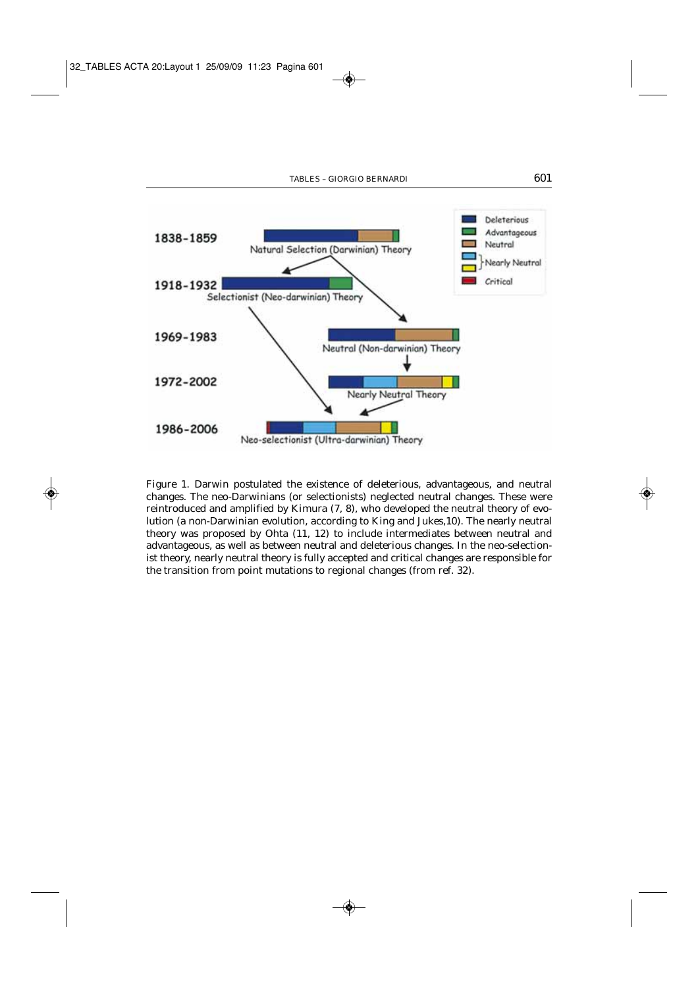

Figure 1. Darwin postulated the existence of deleterious, advantageous, and neutral changes. The neo-Darwinians (or selectionists) neglected neutral changes. These were reintroduced and amplified by Kimura (7, 8), who developed the neutral theory of evolution (a non-Darwinian evolution, according to King and Jukes,10). The nearly neutral theory was proposed by Ohta (11, 12) to include intermediates between neutral and advantageous, as well as between neutral and deleterious changes. In the neo-selectionist theory, nearly neutral theory is fully accepted and critical changes are responsible for the transition from point mutations to regional changes (from ref. 32).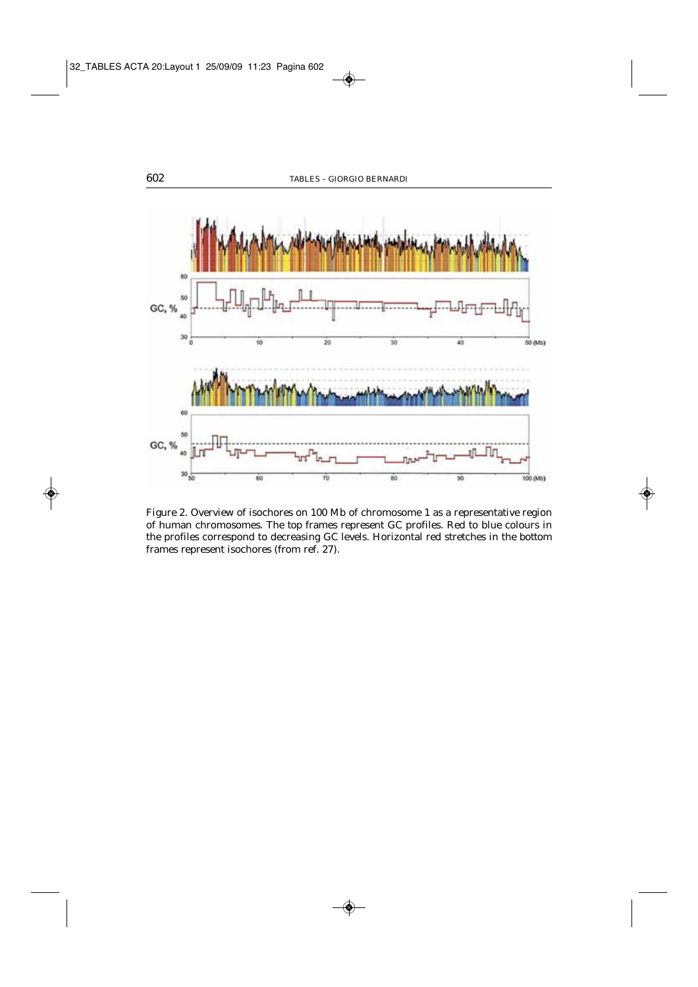

Figure 2. Overview of isochores on 100 Mb of chromosome 1 as a representative region of human chromosomes. The *top* frames represent GC profiles. Red to blue colours in the profiles correspond to decreasing GC levels. Horizontal red stretches in the *bottom* frames represent isochores (from ref. 27).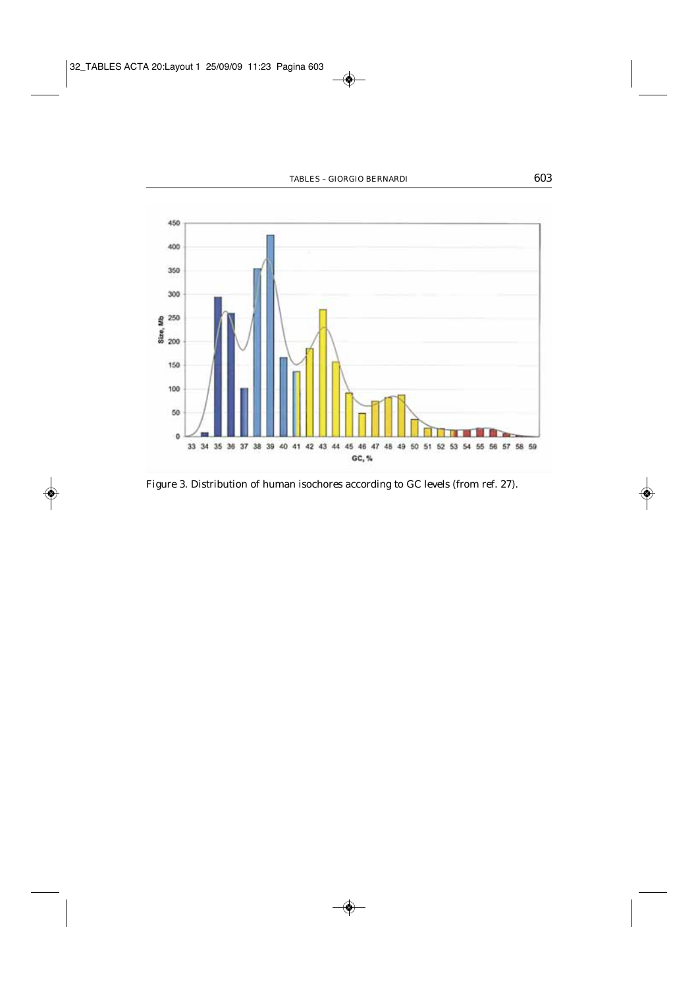

Figure 3. Distribution of human isochores according to GC levels (from ref. 27).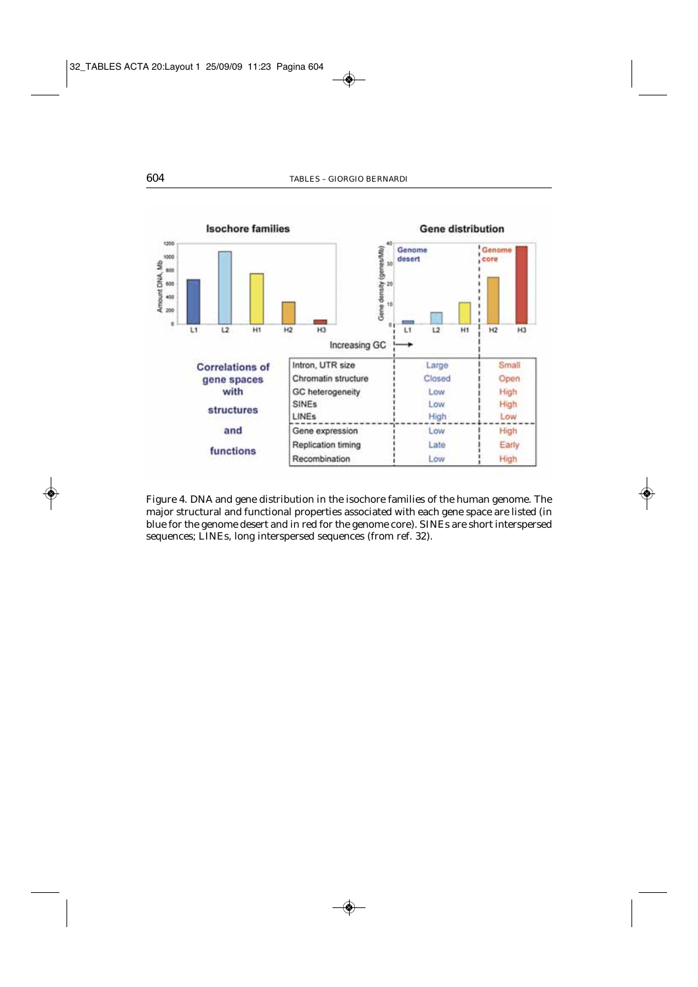

Figure 4. DNA and gene distribution in the isochore families of the human genome. The major structural and functional properties associated with each gene space are listed (in blue for the genome desert and in red for the genome core). SINEs are short interspersed sequences; LINEs, long interspersed sequences (from ref. 32).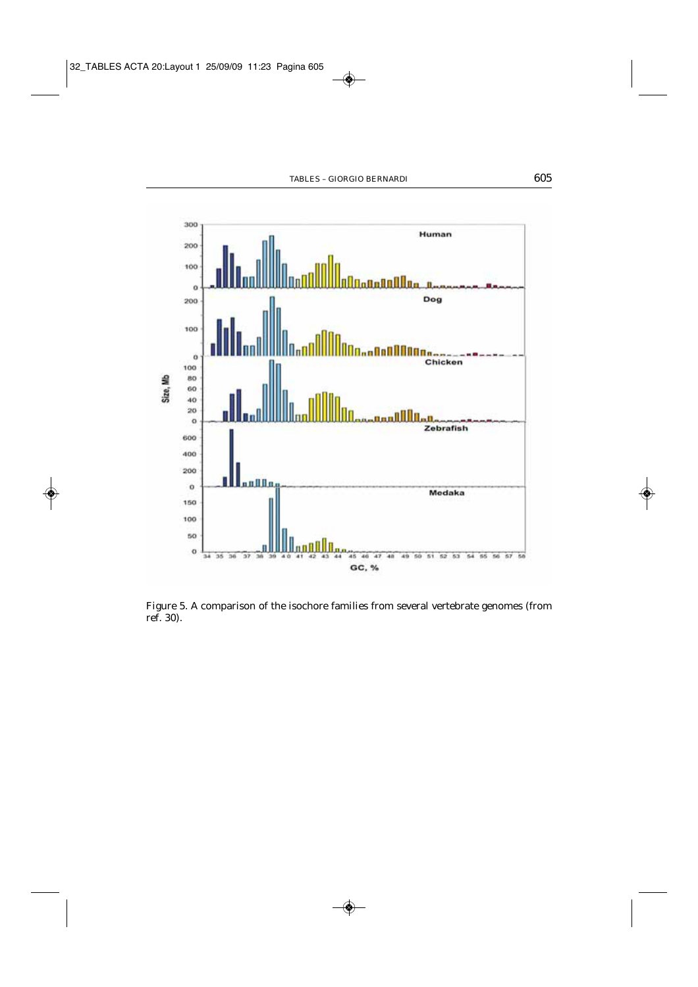

Figure 5. A comparison of the isochore families from several vertebrate genomes (from ref. 30).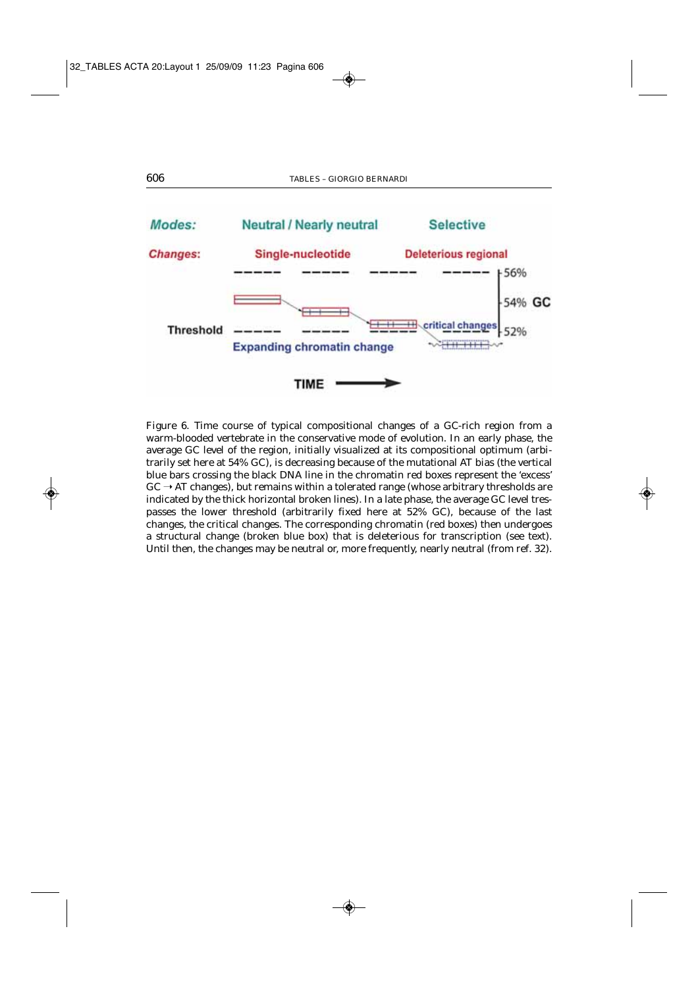

Figure 6. Time course of typical compositional changes of a GC-rich region from a warm-blooded vertebrate in the conservative mode of evolution. In an early phase, the average GC level of the region, initially visualized at its compositional optimum (arbitrarily set here at 54% GC), is decreasing because of the mutational AT bias (the vertical blue bars crossing the black DNA line in the chromatin red boxes represent the 'excess'  $GC \rightarrow AT$  changes), but remains within a tolerated range (whose arbitrary thresholds are indicated by the thick horizontal broken lines). In a late phase, the average GC level trespasses the lower threshold (arbitrarily fixed here at 52% GC), because of the last changes, the critical changes. The corresponding chromatin (red boxes) then undergoes a structural change (broken blue box) that is deleterious for transcription (see text). Until then, the changes may be neutral or, more frequently, nearly neutral (from ref. 32).